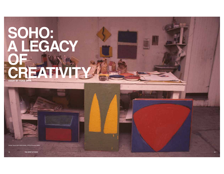## **SOHO: A LEGACY OF CREATIVITY ESSAY BY YUKIE OHTA**

68 **THE SPIRIT OF SOHO** 69

Lieb's SoHo studio, 1976 (©Thornton Willi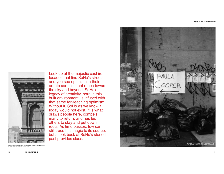

Look up at the majestic cast iron facades that line SoHo's streets and you see optimism in their ornate cornices that reach toward the sky and beyond. SoHo's legacy of creativity, born in this built environment, is infused with that same far-reaching optimism. Without it, SoHo as we know it today would not exist. It is what draws people here, compels many to return, and has led others to stay and put down roots. As time passes, few can still trace this magic to its source, but a look back at SoHo's storied past provides clues.



(Landmarks Preservation Comm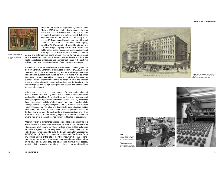**SOHO: A LEGACY OF CREATIVITY**



When the City began paving Broadway north of Canal Street in 1775, it iumpstarted development in the area that is now called SoHo and, by the 1820s, it became an opulent shopping and entertainment district for well-to-do New Yorkers. Stores such as Tiffany & Co. and Lord & Taylor shared the neighborhood with grand hotels such as the St. Nicholas, which, in its heyday, was New York's preeminent hotel. By mid-century, bordellos began popping up on side streets, and SoHo was at once a fashionable shopping district and a red light district. After the Civil War. New York's com-

Niblo's Garden, a dining and entertainment complex on Broadway at Prince Street, c. 1890

mercial and entertainment centers began moving further uptown, and by the late-1800s, the private homes, shops, hotels and brothels would be replaced by factories and showrooms housed in the cast iron buildings that have come to define SoHo's architectural landscape.

SoHo is also known as the Cast-Iron Historic District, so designated by the New York City Landmarks Preservation Commission. An American invention, cast iron facades were not only less expensive to produce than stone or brick, but also much faster, as they were made in molds rather than carved by hand, and affixed to the face of buildings. Because iron is pliable, ornate window frames could be designed, while the strength of the iron also allowed for enlarged windows that let floods of light into buildings as well as high ceilings in vast spaces with only columns necessary for support.

Natural light and open spaces were essential for the manufacturing that defined SoHo for the next fifty years, until advances in mass-production rendered the verticality of SoHo's buildings inefficient and outdated, and factories began leaving the cramped confines of New York City. It was also these same elements of SoHo's built environment that compelled artists looking for studio space, beginning in the 1950s, to inhabit these emptied industrial spaces that had fallen into disrepair, foregoing basic amenities such as heat, hot water, or even a lease. Artists slept on mattresses on the floor that were easy to stash and put blackout curtains over their windows so that, after dark, building inspectors would not suspect that anyone was living in these buildings without certificates of occupancy.

A fear of eviction at a moment's notice pervaded the existence of SoHo's resident artists until a confluence of events transformed this desolate area into a vibrant artist community whose mythical image still looms large in the public imagination. In the early 1960s, City Planning Commissioner Robert Moses was poised to build the Lower Manhattan Expressway (LOMEX) through SoHo to connect the Hudson and East Rivers. Property owners, unsure of the fate of their buildings, were hesitant to renovate their properties and instead rented spaces under-the-table at prices artists could afford. Once they had established their live-work spaces, artists fought for their right to remain, and in the end, due largely to citizen



The St. Nicholas Hotel on Broadway and Spring Street was at one time New York City's most opulent hotel, c. 1860



**Right** 

Left A craftsman restores piano in a SoHo workshop, 1974 (©Allan Tannenba

Cella's Chocolate Covered Cherries factory in SoHo, \$OODQ7DQQHQEDXP



72 **THE SPIRIT OF SOHO** 73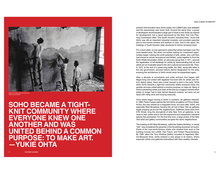## **SOHO: A LEGACY OF CREATIVITY**



Artists renovating a Broome Street loft,<br>1963 (©Louis Dienes)

**SOHO BECAME A TIGHT-KNIT COMMUNITY WHERE EVERYONE KNEW ONE ANOTHER AND WAS UNITED BEHIND A COMMON PURPOSE: TO MAKE ART. —YUKIE OHTA**

activism that included many SoHo artists, the LOMEX plan was defeated and the expressway was never built. Around the same time, a group of developers recommended a large part of what is now SoHo be cleared for development, but a report sponsored by the New York City Planning Commission titled "The South Houston Industrial Area," found that SoHo was still an important industrial incubator and provided essential jobs to low-income workers and workers of color. Due to this report, the buildings of South Houston (later shortened to SoHo) remained intact.

For a short while, no one seemed to notice that artists had taken over this once-derelict area. But when non-artists looking for investment opportunities began noticing the profit potential of lofts, artists, who until then had chosen to remain anonymous and hidden, came together to form the SoHo Artists Association (SAA), an advocacy group that, in 1971, secured the legalization of loft dwellings for artists by demonstrating that art and artists are an invaluable asset to the city's cultural and economic life. Then. in 1973, at the end of a years-long battle, the SAA, along with allies in the City government, secured historic district designation for the area, ensuring the architecture of SoHo would never be jeopardized again.

After a decade of uncertainty and artist activism that began with illegal living and ended with legalized live-work lofts for artists and historic district status, there was a brief moment in time in the early 1970s when SoHo became a tight-knit community where everyone knew one another and was united behind a common purpose: to make art. Many of SoHo's pioneering artists look back at this time as a magical moment when artists no longer had to hide behind blackout curtains, but were not yet faced with rising rents and housing insecurity.

Once artists began moving to SoHo in numbers, art galleries followed. In 1968, Paula Cooper opened the first SoHo art gallery on Prince Street. At first, this was viewed as a misquided move, but soon after, SoHo, and especially West Broadway, became the art hub of New York as galleries began popping up all over the neighborhood. Gallerists came down from 57th Street, long the stronghold of elite New York art galleries, to be close to their artists and to rent the expansive and inexpensive industrial spaces they pioneered. For the first time ever, a large portion of the New York artist and gallery communities occupied the same neighborhood.

The building at 420 West Broadway, called the Gallery Building, or simply "420," was considered the epicenter of the flourishing downtown art scene. Some of the now-world-famous artists who showed their work in this building include Sol LeWitt, Dan Flavin, and Robert Rauschenberg. By 1985, when the Tony Shafrazi Gallery mounted its legendary Warhol-Basquiat show, SoHo entered a new phase in its history, where superstar artists and gallerists hobnobbed with their wealthy clientele.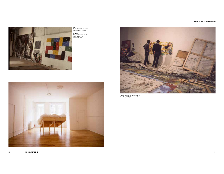## **SOHO: A LEGACY OF CREATIVITY**



**Top**<br>Frank Owen's SoHo studio,<br>1975 (©Thornton Willis) **Bottom**<br>Douglas Dunn's dance studio<br>on Broadway, 1982<br>(©Peter Moore)





Thornton Willis in the SoHo studio of<br>John Seer, 1975 (©Thornton Willis)